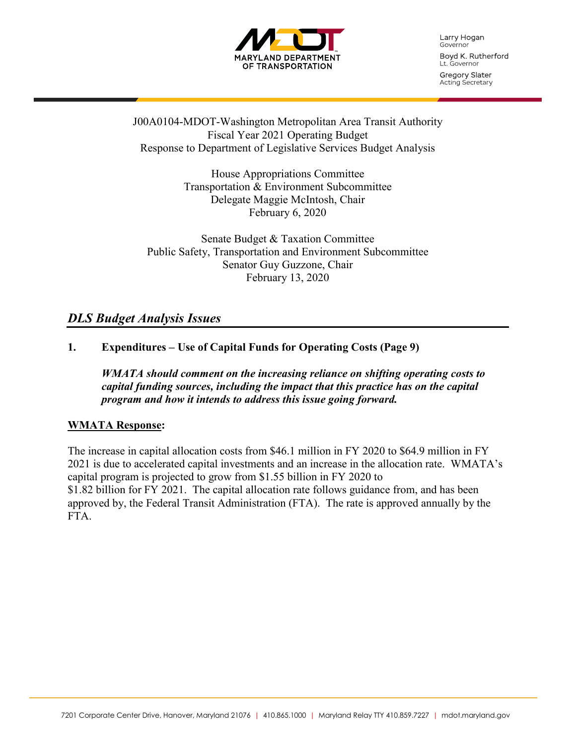

Larry Hogan Governor Boyd K. Rutherford Lt. Governor

Gregory Slater Acting Secretary

J00A0104-MDOT-Washington Metropolitan Area Transit Authority Fiscal Year 2021 Operating Budget Response to Department of Legislative Services Budget Analysis

> House Appropriations Committee Transportation & Environment Subcommittee Delegate Maggie McIntosh, Chair February 6, 2020

Senate Budget & Taxation Committee Public Safety, Transportation and Environment Subcommittee Senator Guy Guzzone, Chair February 13, 2020

## *DLS Budget Analysis Issues*

## **1. Expenditures – Use of Capital Funds for Operating Costs (Page 9)**

*WMATA should comment on the increasing reliance on shifting operating costs to capital funding sources, including the impact that this practice has on the capital program and how it intends to address this issue going forward.*

#### **WMATA Response:**

The increase in capital allocation costs from \$46.1 million in FY 2020 to \$64.9 million in FY 2021 is due to accelerated capital investments and an increase in the allocation rate. WMATA's capital program is projected to grow from \$1.55 billion in FY 2020 to \$1.82 billion for FY 2021. The capital allocation rate follows guidance from, and has been approved by, the Federal Transit Administration (FTA). The rate is approved annually by the FTA.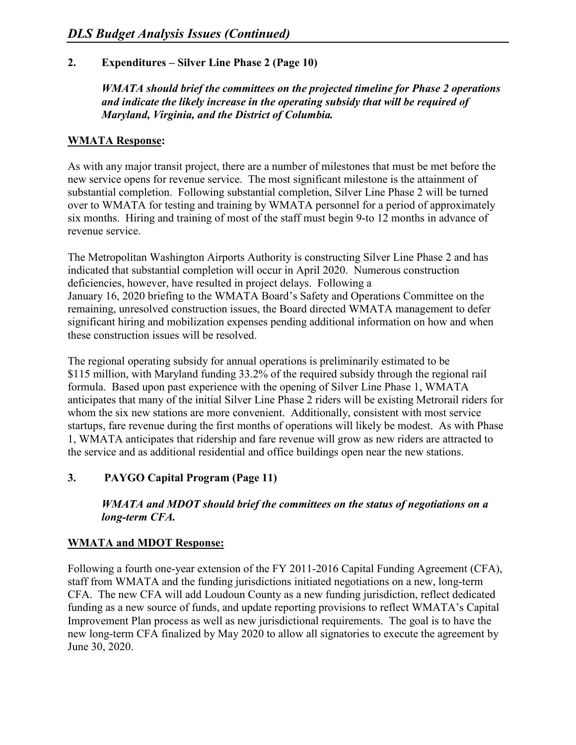## **2. Expenditures – Silver Line Phase 2 (Page 10)**

*WMATA should brief the committees on the projected timeline for Phase 2 operations and indicate the likely increase in the operating subsidy that will be required of Maryland, Virginia, and the District of Columbia.*

#### **WMATA Response:**

As with any major transit project, there are a number of milestones that must be met before the new service opens for revenue service. The most significant milestone is the attainment of substantial completion. Following substantial completion, Silver Line Phase 2 will be turned over to WMATA for testing and training by WMATA personnel for a period of approximately six months. Hiring and training of most of the staff must begin 9-to 12 months in advance of revenue service.

The Metropolitan Washington Airports Authority is constructing Silver Line Phase 2 and has indicated that substantial completion will occur in April 2020. Numerous construction deficiencies, however, have resulted in project delays. Following a January 16, 2020 briefing to the WMATA Board's Safety and Operations Committee on the remaining, unresolved construction issues, the Board directed WMATA management to defer significant hiring and mobilization expenses pending additional information on how and when these construction issues will be resolved.

The regional operating subsidy for annual operations is preliminarily estimated to be \$115 million, with Maryland funding 33.2% of the required subsidy through the regional rail formula. Based upon past experience with the opening of Silver Line Phase 1, WMATA anticipates that many of the initial Silver Line Phase 2 riders will be existing Metrorail riders for whom the six new stations are more convenient. Additionally, consistent with most service startups, fare revenue during the first months of operations will likely be modest. As with Phase 1, WMATA anticipates that ridership and fare revenue will grow as new riders are attracted to the service and as additional residential and office buildings open near the new stations.

#### **3. PAYGO Capital Program (Page 11)**

*WMATA and MDOT should brief the committees on the status of negotiations on a long-term CFA.*

#### **WMATA and MDOT Response:**

Following a fourth one-year extension of the FY 2011-2016 Capital Funding Agreement (CFA), staff from WMATA and the funding jurisdictions initiated negotiations on a new, long-term CFA. The new CFA will add Loudoun County as a new funding jurisdiction, reflect dedicated funding as a new source of funds, and update reporting provisions to reflect WMATA's Capital Improvement Plan process as well as new jurisdictional requirements. The goal is to have the new long-term CFA finalized by May 2020 to allow all signatories to execute the agreement by June 30, 2020.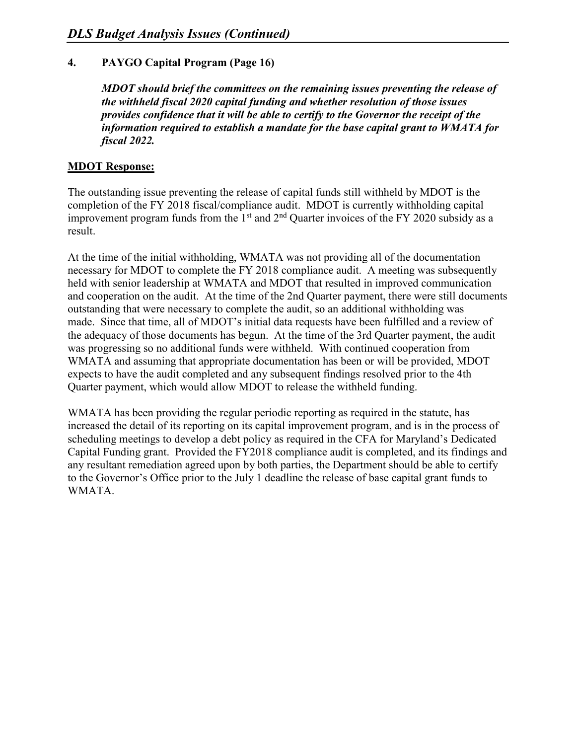## **4. PAYGO Capital Program (Page 16)**

*MDOT should brief the committees on the remaining issues preventing the release of the withheld fiscal 2020 capital funding and whether resolution of those issues provides confidence that it will be able to certify to the Governor the receipt of the information required to establish a mandate for the base capital grant to WMATA for fiscal 2022.*

## **MDOT Response:**

The outstanding issue preventing the release of capital funds still withheld by MDOT is the completion of the FY 2018 fiscal/compliance audit. MDOT is currently withholding capital improvement program funds from the 1st and 2nd Quarter invoices of the FY 2020 subsidy as a result.

At the time of the initial withholding, WMATA was not providing all of the documentation necessary for MDOT to complete the FY 2018 compliance audit. A meeting was subsequently held with senior leadership at WMATA and MDOT that resulted in improved communication and cooperation on the audit. At the time of the 2nd Quarter payment, there were still documents outstanding that were necessary to complete the audit, so an additional withholding was made. Since that time, all of MDOT's initial data requests have been fulfilled and a review of the adequacy of those documents has begun. At the time of the 3rd Quarter payment, the audit was progressing so no additional funds were withheld. With continued cooperation from WMATA and assuming that appropriate documentation has been or will be provided, MDOT expects to have the audit completed and any subsequent findings resolved prior to the 4th Quarter payment, which would allow MDOT to release the withheld funding.

WMATA has been providing the regular periodic reporting as required in the statute, has increased the detail of its reporting on its capital improvement program, and is in the process of scheduling meetings to develop a debt policy as required in the CFA for Maryland's Dedicated Capital Funding grant. Provided the FY2018 compliance audit is completed, and its findings and any resultant remediation agreed upon by both parties, the Department should be able to certify to the Governor's Office prior to the July 1 deadline the release of base capital grant funds to WMATA.